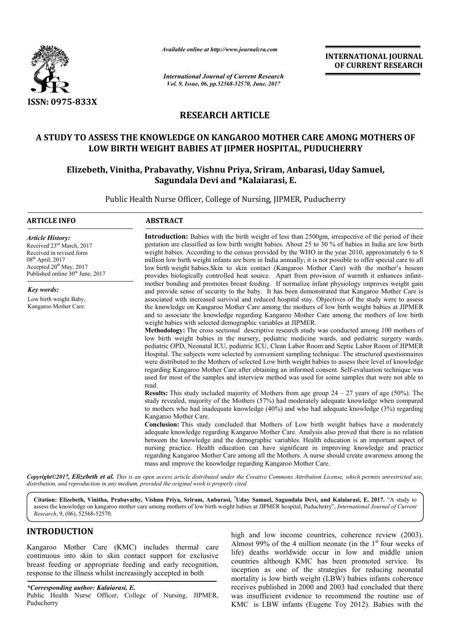

*Available online at http://www.journal http://www.journalcra.com*

*International Journal of Current Research Vol. 9, Issue, 06, pp.52568-52570, June, 2017*

**INTERNATIONAL JOURNAL OF CURRENT RESEARCH** 

# **RESEARCH ARTICLE**

# **A STUDY TO ASSESS THE KNOWLEDGE ON KANGAROO MOTHER CARE AMONG MOTHERS OF LOW BIRTH WEIGHT BABIES AT JIPMER HOSPITAL, PUDUCHERRY**

# **Elizebeth, Vinitha, Prabavathy, Vishnu Priya, Sriram, Anbarasi, LOW BIRTH WEIGHT Uday Samuel, Sagundala Devi and \*Kalaiarasi, E.**

Public Health Nurse Officer, College of Nursing, JIPMER, Puducherry Public Health Nurse Officer,

# **ARTICLE INFO ABSTRACT**

*Article History:* Received 23rd March, 2017 Received in revised form 08th April, 2017 Accepted 20<sup>th</sup> May, 2017 Published online 30<sup>th</sup> June, 2017

*Key words:*

Low birth weight Baby, Kangaroo Mother Care.

Introduction: Babies with the birth weight of less than 2500gm, irrespective of the period of their gestation are classified as low birth weight babies. About 25 to 30 % of babies in India are low birth weight babies. According to the census provided by the WHO in the year 2010, approximately 6 to 8 million low birth weight infants are born in India annually; it is not possible to offer special care to all low birth weight babies. Skin to skin contact (Kangaroo Mother Care) with the mother's bosom provides biologically controlled heat source. Apart from provision of warmth it enhances inf mother bonding and promotes breast feeding. If normalize infant physiology improves weight gain and provide sense of security to the baby. It has been demonstrated that Kangaroo Mother Care is associated with increased survival and reduced hospital stay. Objectives of the study were to assess the knowledge on Kangaroo Mother Care among the mothers of low birth weight babies at JIPMER and to associate the knowledge regarding Kangaroo Mother Care among the mothers of low birth gestation are classified as low birth weight babies. About 25 to 30 % of babies in India are low birth weight babies. According to the census provided by the WHO in the year 2010, approximately 6 to 8 million low birth wei

weight babies with selected demographic variables at JIPMER. **Methodology Methodology:** The cross sectional descriptive research study was conducted among 100 mothers of low birth weight babies in the nursery, pediatric medicine wards, and pediatric surgery wards, pediatric OPD, Neonatal ICU, pediatric ICU, Clean Labor Room and Septic Labor Room of JIPMER Hospital. The subjects were selected by convenient sampling technique. The structured questionnaires were distributed to the Mothers of selected Low birth weight babies to assess their level o regarding Kangaroo Mother Care after obtaining an informed consent. Self-evaluation technique was used for most of the samples and interview method was used for some samples that were not able to read. used for most of the samples and interview method was used for some samples that were not able to read.<br>**Results:** This study included majority of Mothers from age group  $24 - 27$  years of age (50%). The mother bonding and promotes breast feeding. If normalize infant physiology improves weight gain and provide sense of security to the baby. It has been demonstrated that Kangaroo Mother Care is associated with increased sur

study revealed, majority of the Mothers (57%) had moderately adequate knowledge when compared to mothers who had inadequate knowledge (40%) and who had adequate knowledge (3%) regarding Kangaroo Mother Care.

**Conclusion Conclusion:** This study concluded that Mothers of Low birth weight babies have a moderately adequate knowledge regarding Kangaroo Mother Care. Analysis also proved that there is no relation between the knowledge and the demographic variables. Health education is an important aspect of nursing practice. Health education can have significant in improving knowledge and practice regarding Kangaroo Mother Care among all the Mothers. A nurse should create awareness among the mass and improve the knowledge regarding Kangaroo Mother Care. study revealed, majority of the Mothers (57%) had moderately adequate knowledge when compared to mothers who had inadequate knowledge (40%) and who had adequate knowledge (3%) regarding Kangaroo Mother Care.<br>**Conclusion:**

*Copyright©2017, Elizebeth et al. This is an open access article distributed under the Creative Commons Att Attribution License, which ribution permits unrestricted use, distribution, and reproduction in any medium, provided the original work is properly cited.*

**Citation: Elizebeth, Vinitha, Prabavathy, Vishnu Priya, Sriram, Anbarasi, 7 Uday Samuel, Sagundala Devi, and Kalaiarasi, E. 2017.** "A study to assess the knowledge on kangaroo mother care among mothers of low birth weight babies at JIPMER hospital, Puducherry", *International Journal of Current Research*, 9, (06), 52568-52570.

# **INTRODUCTION**

Kangaroo Mother Care (KMC) includes thermal care continuous into skin to skin contact support for exclusive breast feeding or appropriate feeding and early recognition, response to the illness whilst increasingly accepted in both

*\*Corresponding author: Kalaiarasi, E.* Public Health Nurse Officer, College of Nursing, JIPMER, Puducherry

high and low income countries, coherence review (2003). high and low income countries, coherence review (2003).<br>Almost 99% of the 4 million neonate (in the 1<sup>st</sup> four weeks of life) deaths worldwide occur in low and middle union countries although KMC has been promoted service. Its inception as one of the strategies for reducing neonatal mortality is low birth weight (LBW) babies infants coherence receives published in 2000 and 2003 had concluded that there was insufficient evidence to recommend the routine use of KMC is LBW infants (Eugene Toy 2012). Babies with the for educing neonatal<br>birth weight (LBW) babies infants coherence<br>ed in 2000 and 2003 had concluded that there<br>evidence to recommend the routine use of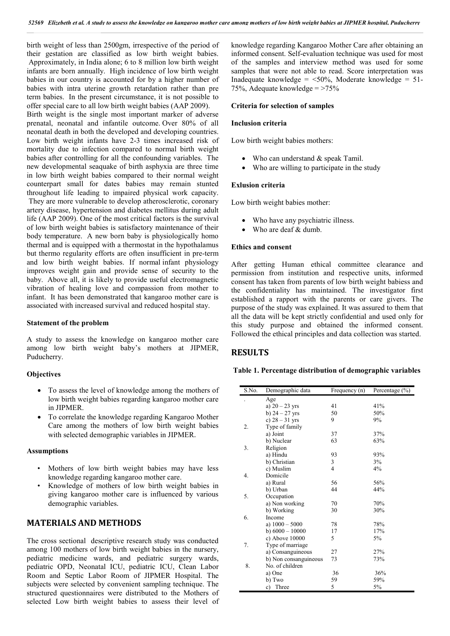birth weight of less than 2500gm, irrespective of the period of their gestation are classified as low birth weight babies. Approximately, in India alone; 6 to 8 million low birth weight infants are born annually. High incidence of low birth weight babies in our country is accounted for by a higher number of babies with intra uterine growth retardation rather than pre term babies. In the present circumstance, it is not possible to

offer special care to all low birth weight babies (AAP 2009). Birth weight is the single most important marker of adverse prenatal, neonatal and infantile outcome. Over 80% of all neonatal death in both the developed and developing countries. Low birth weight infants have 2-3 times increased risk of mortality due to infection compared to normal birth weight babies after controlling for all the confounding variables. The new developmental seaquake of birth asphyxia are three time in low birth weight babies compared to their normal weight counterpart small for dates babies may remain stunted throughout life leading to impaired physical work capacity. They are more vulnerable to develop atherosclerotic, coronary artery disease, hypertension and diabetes mellitus during adult life (AAP 2009). One of the most critical factors is the survival of low birth weight babies is satisfactory maintenance of their body temperature. A new born baby is physiologically homo thermal and is equipped with a thermostat in the hypothalamus but thermo regularity efforts are often insufficient in pre-term and low birth weight babies. If normal infant physiology improves weight gain and provide sense of security to the baby. Above all, it is likely to provide useful electromagnetic vibration of healing love and compassion from mother to infant. It has been demonstrated that kangaroo mother care is associated with increased survival and reduced hospital stay.

#### **Statement of the problem**

A study to assess the knowledge on kangaroo mother care among low birth weight baby's mothers at JIPMER, Puducherry.

# **Objectives**

- To assess the level of knowledge among the mothers of low birth weight babies regarding kangaroo mother care in JIPMER.
- To correlate the knowledge regarding Kangaroo Mother Care among the mothers of low birth weight babies with selected demographic variables in JIPMER.

# **Assumptions**

- Mothers of low birth weight babies may have less knowledge regarding kangaroo mother care.
- Knowledge of mothers of low birth weight babies in giving kangaroo mother care is influenced by various demographic variables.

# **MATERIALS AND METHODS**

The cross sectional descriptive research study was conducted among 100 mothers of low birth weight babies in the nursery, pediatric medicine wards, and pediatric surgery wards, pediatric OPD, Neonatal ICU, pediatric ICU, Clean Labor Room and Septic Labor Room of JIPMER Hospital. The subjects were selected by convenient sampling technique. The structured questionnaires were distributed to the Mothers of selected Low birth weight babies to assess their level of knowledge regarding Kangaroo Mother Care after obtaining an informed consent. Self-evaluation technique was used for most of the samples and interview method was used for some samples that were not able to read. Score interpretation was Inadequate knowledge =  $\leq 50\%$ , Moderate knowledge = 51-75%, Adequate knowledge  $=$  >75%

## **Criteria for selection of samples**

## **Inclusion criteria**

Low birth weight babies mothers:

- Who can understand & speak Tamil.
- Who are willing to participate in the study

## **Exlusion criteria**

Low birth weight babies mother:

- Who have any psychiatric illness.
- Who are deaf & dumb.

# **Ethics and consent**

After getting Human ethical committee clearance and permission from institution and respective units, informed consent has taken from parents of low birth weight babiess and the confidentiality has maintained. The investigator first established a rapport with the parents or care givers. The purpose of the study was explained. It was assured to them that all the data will be kept strictly confidential and used only for this study purpose and obtained the informed consent. Followed the ethical principles and data collection was started.

# **RESULTS**

**Table 1. Percentage distribution of demographic variables**

| S.No. | Demographic data      | Frequency (n)            | Percentage (%) |
|-------|-----------------------|--------------------------|----------------|
|       | Age                   |                          |                |
|       | a) $20 - 23$ yrs      | 41                       | 41%            |
|       | b) $24 - 27$ yrs      | 50                       | 50%            |
|       | c) $28 - 31$ yrs      | 9                        | 9%             |
| 2.    | Type of family        |                          |                |
|       | a) Joint              | 37                       | 37%            |
|       | b) Nuclear            | 63                       | 63%            |
| 3.    | Religion              |                          |                |
|       | a) Hindu              | 93                       | 93%            |
|       | b) Christian          | 3                        | 3%             |
|       | c) Muslim             | $\overline{\mathcal{L}}$ | 4%             |
| 4.    | Domicile              |                          |                |
|       | a) Rural              | 56                       | 56%            |
|       | b) Urban              | 44                       | 44%            |
| 5.    | Occupation            |                          |                |
|       | a) Non working        | 70                       | 70%            |
|       | b) Working            | 30                       | 30%            |
| 6.    | Income                |                          |                |
|       | a) $1000 - 5000$      | 78                       | 78%            |
|       | b) $6000 - 10000$     | 17                       | 17%            |
|       | c) Above 10000        | 5                        | 5%             |
| 7.    | Type of marriage      |                          |                |
|       | a) Consanguineous     | 27                       | 27%            |
|       | b) Non consanguineous | 73                       | 73%            |
| 8.    | No. of children       |                          |                |
|       | a) One                | 36                       | 36%            |
|       | b) Two                | 59                       | 59%            |
|       | c) Three              | 5                        | 5%             |